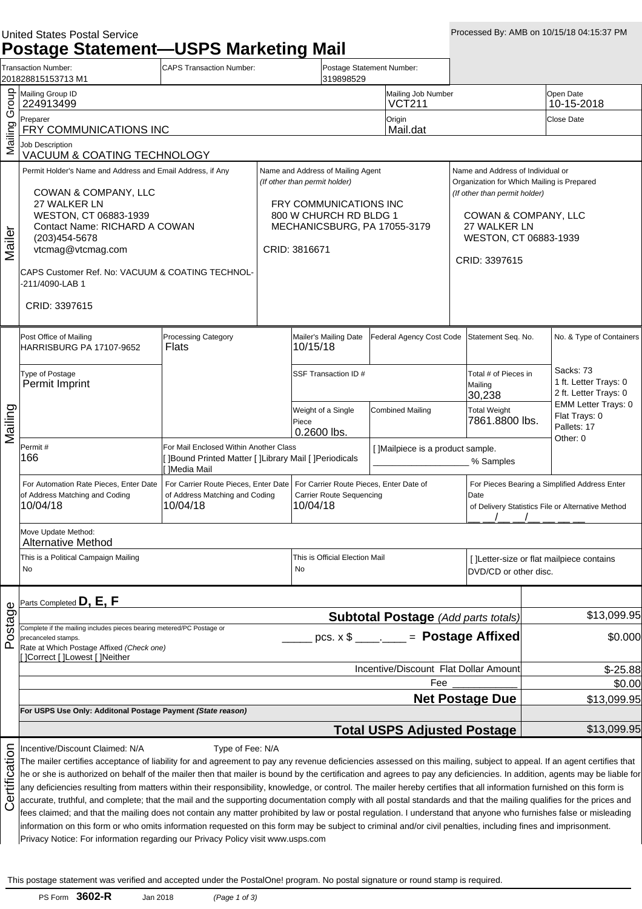### United States Postal Service

**Postage Statement—USPS Marketing Mail**

|                                  | Transaction Number:<br>201828815153713 M1                                                                                                                                                                                                                                                                                                                                                                                                                                                                                                                                                                                                                                                                                                                                                                                                                                                                                                                                                                                                                                                                                                                       | <b>CAPS Transaction Number:</b>                                                                                                                                         |                                                                                                | Postage Statement Number:<br>319898529     |                                            |                                                             |                                                                                                                                                                                                    |                                       |                                                                                                    |                                                            |
|----------------------------------|-----------------------------------------------------------------------------------------------------------------------------------------------------------------------------------------------------------------------------------------------------------------------------------------------------------------------------------------------------------------------------------------------------------------------------------------------------------------------------------------------------------------------------------------------------------------------------------------------------------------------------------------------------------------------------------------------------------------------------------------------------------------------------------------------------------------------------------------------------------------------------------------------------------------------------------------------------------------------------------------------------------------------------------------------------------------------------------------------------------------------------------------------------------------|-------------------------------------------------------------------------------------------------------------------------------------------------------------------------|------------------------------------------------------------------------------------------------|--------------------------------------------|--------------------------------------------|-------------------------------------------------------------|----------------------------------------------------------------------------------------------------------------------------------------------------------------------------------------------------|---------------------------------------|----------------------------------------------------------------------------------------------------|------------------------------------------------------------|
| Group                            | Mailing Group ID<br>224913499                                                                                                                                                                                                                                                                                                                                                                                                                                                                                                                                                                                                                                                                                                                                                                                                                                                                                                                                                                                                                                                                                                                                   |                                                                                                                                                                         |                                                                                                |                                            |                                            | Mailing Job Number<br><b>VCT211</b>                         |                                                                                                                                                                                                    |                                       |                                                                                                    | Open Date<br>10-15-2018                                    |
|                                  | Preparer<br>FRY COMMUNICATIONS INC                                                                                                                                                                                                                                                                                                                                                                                                                                                                                                                                                                                                                                                                                                                                                                                                                                                                                                                                                                                                                                                                                                                              |                                                                                                                                                                         |                                                                                                |                                            | Origin<br>Mail.dat                         |                                                             |                                                                                                                                                                                                    |                                       | Close Date                                                                                         |                                                            |
| Mailing                          | <b>Job Description</b><br>VACUUM & COATING TECHNOLOGY                                                                                                                                                                                                                                                                                                                                                                                                                                                                                                                                                                                                                                                                                                                                                                                                                                                                                                                                                                                                                                                                                                           |                                                                                                                                                                         |                                                                                                |                                            |                                            |                                                             |                                                                                                                                                                                                    |                                       |                                                                                                    |                                                            |
| Mailer                           | Permit Holder's Name and Address and Email Address, if Any<br>COWAN & COMPANY, LLC<br>27 WALKER LN<br>WESTON, CT 06883-1939<br>Contact Name: RICHARD A COWAN<br>(203) 454-5678<br>vtcmag@vtcmag.com<br>CAPS Customer Ref. No: VACUUM & COATING TECHNOL-<br>-211/4090-LAB 1<br>CRID: 3397615                                                                                                                                                                                                                                                                                                                                                                                                                                                                                                                                                                                                                                                                                                                                                                                                                                                                     | Name and Address of Mailing Agent<br>(If other than permit holder)<br>FRY COMMUNICATIONS INC<br>800 W CHURCH RD BLDG 1<br>MECHANICSBURG, PA 17055-3179<br>CRID: 3816671 |                                                                                                |                                            |                                            |                                                             | Name and Address of Individual or<br>Organization for Which Mailing is Prepared<br>(If other than permit holder)<br>COWAN & COMPANY, LLC<br>27 WALKER LN<br>WESTON, CT 06883-1939<br>CRID: 3397615 |                                       |                                                                                                    |                                                            |
|                                  | Post Office of Mailing<br><b>HARRISBURG PA 17107-9652</b>                                                                                                                                                                                                                                                                                                                                                                                                                                                                                                                                                                                                                                                                                                                                                                                                                                                                                                                                                                                                                                                                                                       | <b>Processing Category</b><br>Flats                                                                                                                                     |                                                                                                | Mailer's Mailing Date<br>10/15/18          |                                            | Federal Agency Cost Code                                    |                                                                                                                                                                                                    | Statement Seq. No.                    |                                                                                                    | No. & Type of Containers                                   |
|                                  | Type of Postage<br>Permit Imprint                                                                                                                                                                                                                                                                                                                                                                                                                                                                                                                                                                                                                                                                                                                                                                                                                                                                                                                                                                                                                                                                                                                               | SSF Transaction ID #<br>Mailing                                                                                                                                         |                                                                                                | Total # of Pieces in<br>30,238             |                                            | Sacks: 73<br>1 ft. Letter Trays: 0<br>2 ft. Letter Trays: 0 |                                                                                                                                                                                                    |                                       |                                                                                                    |                                                            |
| Mailing                          |                                                                                                                                                                                                                                                                                                                                                                                                                                                                                                                                                                                                                                                                                                                                                                                                                                                                                                                                                                                                                                                                                                                                                                 |                                                                                                                                                                         |                                                                                                | Weight of a Single<br>Piece<br>0.2600 lbs. |                                            | <b>Combined Mailing</b>                                     |                                                                                                                                                                                                    | <b>Total Weight</b><br>7861.8800 lbs. |                                                                                                    | <b>EMM Letter Trays: 0</b><br>Flat Trays: 0<br>Pallets: 17 |
|                                  | Permit#<br>166                                                                                                                                                                                                                                                                                                                                                                                                                                                                                                                                                                                                                                                                                                                                                                                                                                                                                                                                                                                                                                                                                                                                                  | For Mail Enclosed Within Another Class<br>]Bound Printed Matter [ ]Library Mail [ ]Periodicals<br><b>Media Mail</b>                                                     |                                                                                                |                                            |                                            | [ ]Mailpiece is a product sample.<br>% Samples              |                                                                                                                                                                                                    |                                       |                                                                                                    | Other: 0                                                   |
|                                  | For Automation Rate Pieces, Enter Date<br>of Address Matching and Coding<br>10/04/18                                                                                                                                                                                                                                                                                                                                                                                                                                                                                                                                                                                                                                                                                                                                                                                                                                                                                                                                                                                                                                                                            | For Carrier Route Pieces, Enter Date<br>of Address Matching and Coding                                                                                                  | For Carrier Route Pieces, Enter Date of<br><b>Carrier Route Sequencing</b><br>Date<br>10/04/18 |                                            |                                            |                                                             |                                                                                                                                                                                                    |                                       | For Pieces Bearing a Simplified Address Enter<br>of Delivery Statistics File or Alternative Method |                                                            |
|                                  | Move Update Method:<br>Alternative Method                                                                                                                                                                                                                                                                                                                                                                                                                                                                                                                                                                                                                                                                                                                                                                                                                                                                                                                                                                                                                                                                                                                       |                                                                                                                                                                         |                                                                                                |                                            |                                            |                                                             |                                                                                                                                                                                                    |                                       |                                                                                                    |                                                            |
|                                  | This is a Political Campaign Mailing<br>No                                                                                                                                                                                                                                                                                                                                                                                                                                                                                                                                                                                                                                                                                                                                                                                                                                                                                                                                                                                                                                                                                                                      |                                                                                                                                                                         |                                                                                                | This is Official Election Mail<br>No       |                                            |                                                             |                                                                                                                                                                                                    | DVD/CD or other disc.                 |                                                                                                    | [ ]Letter-size or flat mailpiece contains                  |
|                                  | Parts Completed $\mathsf{D}, \, \mathsf{E}, \, \mathsf{F}$                                                                                                                                                                                                                                                                                                                                                                                                                                                                                                                                                                                                                                                                                                                                                                                                                                                                                                                                                                                                                                                                                                      |                                                                                                                                                                         |                                                                                                |                                            |                                            |                                                             |                                                                                                                                                                                                    |                                       |                                                                                                    |                                                            |
| ostage<br>$\Omega$               | Complete if the mailing includes pieces bearing metered/PC Postage or<br>precanceled stamps.<br>Rate at Which Postage Affixed (Check one)<br>]Correct []Lowest []Neither                                                                                                                                                                                                                                                                                                                                                                                                                                                                                                                                                                                                                                                                                                                                                                                                                                                                                                                                                                                        |                                                                                                                                                                         | $pcs. \times $$                                                                                |                                            | <b>Subtotal Postage (Add parts totals)</b> |                                                             | - Postage Affixed                                                                                                                                                                                  | \$13,099.95<br>\$0.000                |                                                                                                    |                                                            |
|                                  |                                                                                                                                                                                                                                                                                                                                                                                                                                                                                                                                                                                                                                                                                                                                                                                                                                                                                                                                                                                                                                                                                                                                                                 |                                                                                                                                                                         |                                                                                                |                                            |                                            | Incentive/Discount Flat Dollar Amount<br>Fee                |                                                                                                                                                                                                    |                                       |                                                                                                    | $$-25.88$<br>\$0.00                                        |
|                                  |                                                                                                                                                                                                                                                                                                                                                                                                                                                                                                                                                                                                                                                                                                                                                                                                                                                                                                                                                                                                                                                                                                                                                                 |                                                                                                                                                                         |                                                                                                |                                            |                                            |                                                             |                                                                                                                                                                                                    | <b>Net Postage Due</b>                |                                                                                                    | \$13,099.95                                                |
|                                  | For USPS Use Only: Additonal Postage Payment (State reason)                                                                                                                                                                                                                                                                                                                                                                                                                                                                                                                                                                                                                                                                                                                                                                                                                                                                                                                                                                                                                                                                                                     |                                                                                                                                                                         |                                                                                                |                                            |                                            | <b>Total USPS Adjusted Postage</b>                          |                                                                                                                                                                                                    |                                       |                                                                                                    | \$13,099.95                                                |
| ertification<br>$\mathfrak{c}$ : | Incentive/Discount Claimed: N/A<br>The mailer certifies acceptance of liability for and agreement to pay any revenue deficiencies assessed on this mailing, subject to appeal. If an agent certifies that<br>he or she is authorized on behalf of the mailer then that mailer is bound by the certification and agrees to pay any deficiencies. In addition, agents may be liable for<br>any deficiencies resulting from matters within their responsibility, knowledge, or control. The mailer hereby certifies that all information furnished on this form is<br>accurate, truthful, and complete; that the mail and the supporting documentation comply with all postal standards and that the mailing qualifies for the prices and<br>fees claimed; and that the mailing does not contain any matter prohibited by law or postal regulation. I understand that anyone who furnishes false or misleading<br>information on this form or who omits information requested on this form may be subject to criminal and/or civil penalties, including fines and imprisonment.<br>Privacy Notice: For information regarding our Privacy Policy visit www.usps.com | Type of Fee: N/A                                                                                                                                                        |                                                                                                |                                            |                                            |                                                             |                                                                                                                                                                                                    |                                       |                                                                                                    |                                                            |

This postage statement was verified and accepted under the PostalOne! program. No postal signature or round stamp is required.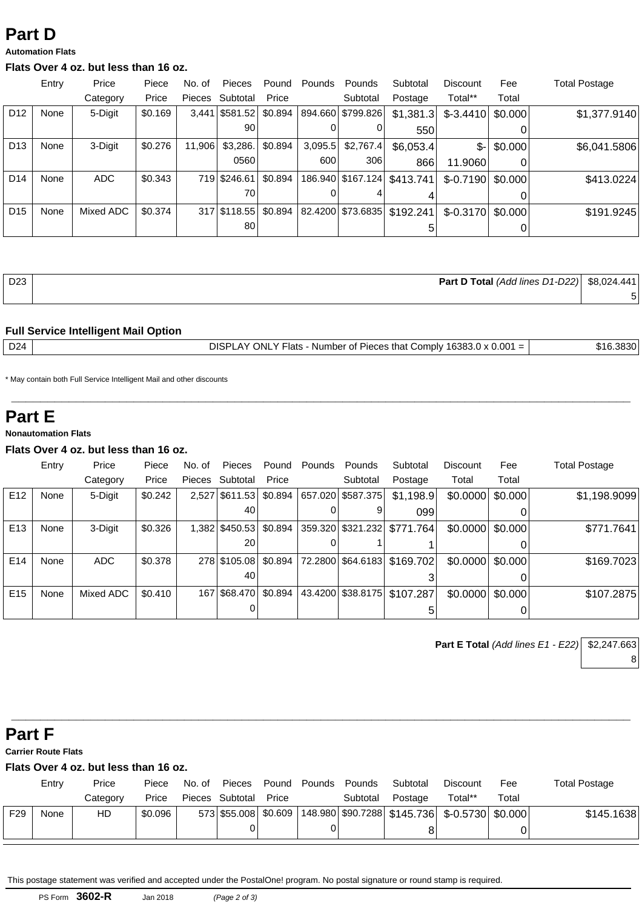# **Part D**

#### **Automation Flats**

#### **Flats Over 4 oz. but less than 16 oz.**

|                 | Entry | Price     | Piece   | No. of | <b>Pieces</b>      | Pound   | Pounds  | Pounds              | Subtotal                        | Discount            | Fee     | <b>Total Postage</b> |
|-----------------|-------|-----------|---------|--------|--------------------|---------|---------|---------------------|---------------------------------|---------------------|---------|----------------------|
|                 |       | Category  | Price   | Pieces | Subtotal           | Price   |         | Subtotal            | Postage                         | Total**             | Total   |                      |
| D <sub>12</sub> | None  | 5-Digit   | \$0.169 |        | $3,441$ \$581.52   | \$0.894 |         | 894.660   \$799.826 | \$1,381.3                       | $$-3.4410$          | \$0.000 | \$1,377.9140         |
|                 |       |           |         |        | 90                 |         | 0       |                     | 550                             |                     |         |                      |
| D <sub>13</sub> | None  | 3-Digit   | \$0.276 | 11.906 | \$3,286.           | \$0.894 | 3,095.5 | \$2,767.4           | \$6,053.4]                      | \$-l                | \$0.000 | \$6,041.5806         |
|                 |       |           |         |        | 0560               |         | 600     | 306                 | 866                             | 11.9060             | 0       |                      |
| D <sub>14</sub> | None  | ADC       | \$0.343 |        | 719 \$246.61       | \$0.894 |         |                     | 186.940   \$167.124   \$413.741 | $$-0.7190$          | \$0.000 | \$413.0224           |
|                 |       |           |         |        | 70                 |         |         |                     | 4                               |                     |         |                      |
| D <sub>15</sub> | None  | Mixed ADC | \$0.374 |        | 317 \ \ \$118.55 \ | \$0.894 |         |                     | 82.4200 \$73.6835 \$192.241     | $$-0.3170$ $$0.000$ |         | \$191.9245           |
|                 |       |           |         |        | 80 l               |         |         |                     | 5                               |                     |         |                      |

| D <sub>23</sub> | <b>Part D Total</b> (Add lines D1-D22) $\downarrow$ | \$8,024.441 |
|-----------------|-----------------------------------------------------|-------------|
|                 |                                                     |             |

#### **Full Service Intelligent Mail Option**

DISPLAY ONLY Flats - Number of Pieces that Comply  $16383.0 \times 0.001 =$  \$16.3830

**\_\_\_\_\_\_\_\_\_\_\_\_\_\_\_\_\_\_\_\_\_\_\_\_\_\_\_\_\_\_\_\_\_\_\_\_\_\_\_\_\_\_\_\_\_\_\_\_\_\_\_\_\_\_\_\_\_\_\_\_\_\_\_\_\_\_\_\_\_\_\_\_\_\_\_\_\_\_\_\_\_\_\_\_\_\_**

\* May contain both Full Service Intelligent Mail and other discounts

### **Part E**

#### **Nonautomation Flats**

#### **Flats Over 4 oz. but less than 16 oz.**

|                 | Entry | Price     | Piece   | No. of | Pieces           | Pound   | Pounds | Pounds              | Subtotal                      | Discount                   | Fee   | <b>Total Postage</b> |
|-----------------|-------|-----------|---------|--------|------------------|---------|--------|---------------------|-------------------------------|----------------------------|-------|----------------------|
|                 |       | Category  | Price   | Pieces | Subtotal         | Price   |        | Subtotal            | Postage                       | Total                      | Total |                      |
| E <sub>12</sub> | None  | 5-Digit   | \$0.242 |        | 2,527 \$611.53   | \$0.894 |        | 657.020   \$587.375 | \$1,198.9                     | $$0.0000 \mid $0.000$      |       | \$1,198.9099         |
|                 |       |           |         |        | 40               |         |        |                     | 099                           |                            |       |                      |
| E <sub>13</sub> | None  | 3-Digit   | \$0.326 |        | 1,382   \$450.53 | \$0.894 |        |                     | 359.320 \$321.232 \ \$771.764 | $$0.0000 \mid $0.000 \mid$ |       | \$771.7641           |
|                 |       |           |         |        | 20               |         |        |                     |                               |                            |       |                      |
| E14             | None  | ADC       | \$0.378 |        | 278 \$105,08     | \$0.894 |        |                     | 72.2800 \$64.6183   \$169.702 | $$0.0000 \mid $0.000$      |       | \$169.7023           |
|                 |       |           |         |        | 40               |         |        |                     |                               |                            |       |                      |
| E <sub>15</sub> | None  | Mixed ADC | \$0.410 |        | 167   \$68,470   | \$0.894 |        |                     | 43.4200 \$38.8175 \$107.287   | $$0.0000 \mid $0.000$      |       | \$107.2875           |
|                 |       |           |         |        |                  |         |        |                     |                               |                            |       |                      |

**Part E Total** (Add lines E1 - E22) \$2,247.663 8

## **Part F**

**Carrier Route Flats**

### **Flats Over 4 oz. but less than 16 oz.**

|     | Entry | Price    | Piece   | No. of | Pieces                | Pound | Pounds | Pounds   | Subtotal                                                                     | Discount | Fee   | <b>Total Postage</b> |
|-----|-------|----------|---------|--------|-----------------------|-------|--------|----------|------------------------------------------------------------------------------|----------|-------|----------------------|
|     |       | Categorv | Price   |        | Pieces Subtotal Price |       |        | Subtotal | Postage                                                                      | Total**  | Total |                      |
| F29 | None  | HD       | \$0.096 |        |                       |       |        |          | 573 \$55.008 \$0.609   148.980   \$90.7288   \$145.736   \$-0.5730   \$0.000 |          |       | \$145.1638           |
|     |       |          |         |        |                       |       |        |          | 8                                                                            |          |       |                      |

**\_\_\_\_\_\_\_\_\_\_\_\_\_\_\_\_\_\_\_\_\_\_\_\_\_\_\_\_\_\_\_\_\_\_\_\_\_\_\_\_\_\_\_\_\_\_\_\_\_\_\_\_\_\_\_\_\_\_\_\_\_\_\_\_\_\_\_\_\_\_\_\_\_\_\_\_\_\_\_\_\_\_\_\_\_\_**

This postage statement was verified and accepted under the PostalOne! program. No postal signature or round stamp is required.